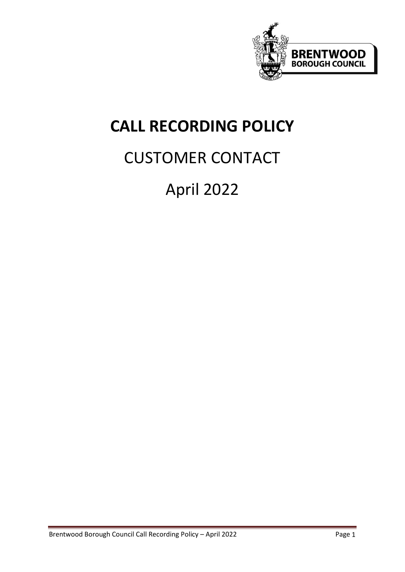

# **CALL RECORDING POLICY**

# CUSTOMER CONTACT

# April 2022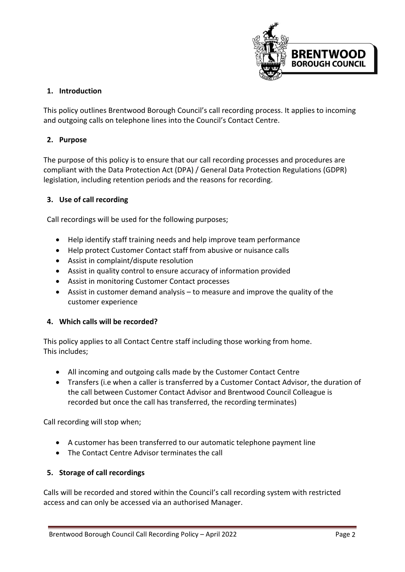

## **1. Introduction**

This policy outlines Brentwood Borough Council's call recording process. It applies to incoming and outgoing calls on telephone lines into the Council's Contact Centre.

## **2. Purpose**

The purpose of this policy is to ensure that our call recording processes and procedures are compliant with the Data Protection Act (DPA) / General Data Protection Regulations (GDPR) legislation, including retention periods and the reasons for recording.

#### **3. Use of call recording**

Call recordings will be used for the following purposes;

- Help identify staff training needs and help improve team performance
- Help protect Customer Contact staff from abusive or nuisance calls
- Assist in complaint/dispute resolution
- Assist in quality control to ensure accuracy of information provided
- Assist in monitoring Customer Contact processes
- Assist in customer demand analysis to measure and improve the quality of the customer experience

#### **4. Which calls will be recorded?**

This policy applies to all Contact Centre staff including those working from home. This includes;

- All incoming and outgoing calls made by the Customer Contact Centre
- Transfers (i.e when a caller is transferred by a Customer Contact Advisor, the duration of the call between Customer Contact Advisor and Brentwood Council Colleague is recorded but once the call has transferred, the recording terminates)

Call recording will stop when;

- A customer has been transferred to our automatic telephone payment line
- The Contact Centre Advisor terminates the call

#### **5. Storage of call recordings**

Calls will be recorded and stored within the Council's call recording system with restricted access and can only be accessed via an authorised Manager.